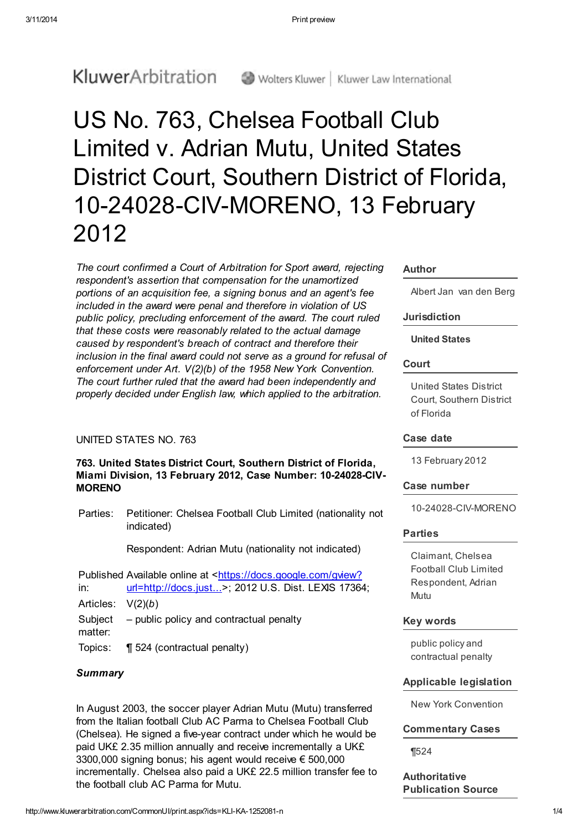3/11/2014 Print preview

KluwerArbitration Wolters Kluwer | Kluwer Law International

# US No. 763, Chelsea Football Club Limited v. Adrian Mutu, United States District Court, Southern District of Florida, 10-24028-CIV-MORENO, 13 February 2012

The court confirmed a Court of Arbitration for Sport award, rejecting respondent's assertion that compensation for the unamortized portions of an acquisition fee, a signing bonus and an agent's fee included in the award were penal and therefore in violation of US public policy, precluding enforcement of the award. The court ruled that these costs were reasonably related to the actual damage caused by respondent's breach of contract and therefore their inclusion in the final award could not serve as a ground for refusal of enforcement under Art. V(2)(b) of the 1958 New York Convention. The court further ruled that the award had been independently and properly decided under English law, which applied to the arbitration.

# UNITED STATES NO. 763

# 763. United States District Court, Southern District of Florida, Miami Division, 13 February 2012, Case Number: 10-24028-CIV-MORENO

Parties: Petitioner: Chelsea Football Club Limited (nationality not indicated)

Respondent: Adrian Mutu (nationality not indicated)

Published Available online at [<https://docs.google.com/gview?](https://docs.google.com/gview?url=http://docs.justia.com/cases/federal/district-courts/florida/flsdce/1:2010cv24028/368380/41/0.pdf?1329215649&chrome=true) in: url=http://docs.just...>; 2012 U.S. Dist. LEXIS 17364; Articles: V(2)(b) Subject matter: – public policy and contractual penalty

Topics: ¶ 524 (contractual penalty)

# **Summary**

In August 2003, the soccer player Adrian Mutu (Mutu) transferred from the Italian football Club AC Parma to Chelsea Football Club (Chelsea). He signed a five-year contract under which he would be paid UK£ 2.35 million annually and receive incrementally a UK£ 3300,000 signing bonus; his agent would receive € 500,000 incrementally. Chelsea also paid a UK£ 22.5 million transfer fee to the football club AC Parma for Mutu.

Author

Albert Jan van den Berg

#### Jurisdiction

United [States](http://www.kluwerarbitration.com/CommonUI/organizations.aspx?jurisdiction=United%20States)

### Court

United States District Court, Southern District of Florida

#### Case date

13 February 2012

#### Case number

10-24028-CIV-MORENO

### Parties

Claimant, Chelsea Football Club Limited Respondent, Adrian Mutu

## Key words

public policy and contractual penalty

### Applicable legislation

New York Convention

### Commentary Cases

[¶524](http://www.kluwerarbitration.com/CommonUI/document.aspx?id=KLI-KA-1252282-n)

**Authoritative** Publication Source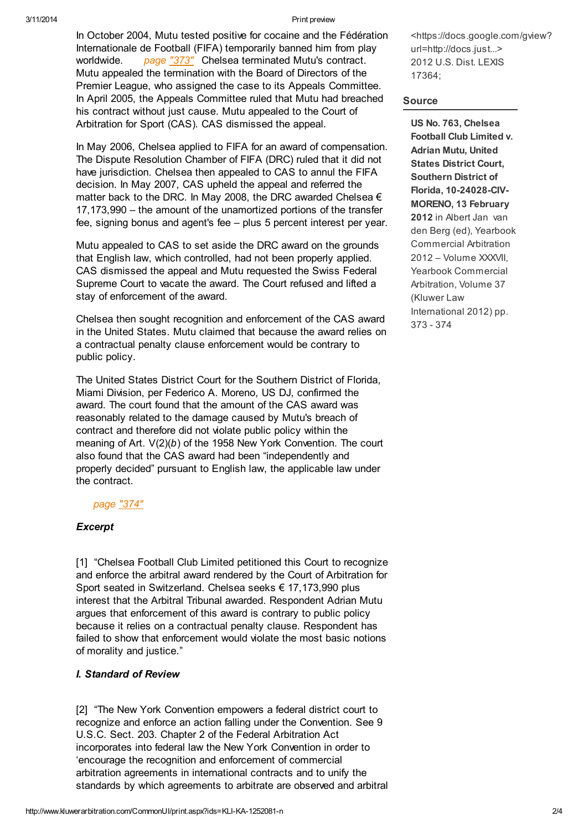#### 3/11/2014 Print preview

In October 2004, Mutu tested positive for cocaine and the Fédération Internationale de Football (FIFA) temporarily banned him from play worldwide. page "373" Chelsea terminated Mutu's contract. Mutu appealed the termination with the Board of Directors of the Premier League, who assigned the case to its Appeals Committee. In April 2005, the Appeals Committee ruled that Mutu had breached his contract without just cause. Mutu appealed to the Court of Arbitration for Sport (CAS). CAS dismissed the appeal.

In May 2006, Chelsea applied to FIFA for an award of compensation. The Dispute Resolution Chamber of FIFA (DRC) ruled that it did not have jurisdiction. Chelsea then appealed to CAS to annul the FIFA decision. In May 2007, CAS upheld the appeal and referred the matter back to the DRC. In May 2008, the DRC awarded Chelsea  $\epsilon$ 17,173,990 – the amount of the unamortized portions of the transfer fee, signing bonus and agent's fee – plus 5 percent interest per year.

Mutu appealed to CAS to set aside the DRC award on the grounds that English law, which controlled, had not been properly applied. CAS dismissed the appeal and Mutu requested the Swiss Federal Supreme Court to vacate the award. The Court refused and lifted a stay of enforcement of the award.

Chelsea then sought recognition and enforcement of the CAS award in the United States. Mutu claimed that because the award relies on a contractual penalty clause enforcement would be contrary to public policy.

The United States District Court for the Southern District of Florida, Miami Division, per Federico A. Moreno, US DJ, confirmed the award. The court found that the amount of the CAS award was reasonably related to the damage caused by Mutu's breach of contract and therefore did not violate public policy within the meaning of Art. V(2)(b) of the 1958 New York Convention. The court also found that the CAS award had been "independently and properly decided" pursuant to English law, the applicable law under the contract.

### page "374"

# **Excerpt**

[1] "Chelsea Football Club Limited petitioned this Court to recognize and enforce the arbitral award rendered by the Court of Arbitration for Sport seated in Switzerland. Chelsea seeks € 17,173,990 plus interest that the Arbitral Tribunal awarded. Respondent Adrian Mutu argues that enforcement of this award is contrary to public policy because it relies on a contractual penalty clause. Respondent has failed to show that enforcement would violate the most basic notions of morality and justice."

# I. Standard of Review

[2] "The New York Convention empowers a federal district court to recognize and enforce an action falling under the Convention. See 9 U.S.C. Sect. 203. Chapter 2 of the Federal Arbitration Act incorporates into federal law the New York Convention in order to 'encourage the recognition and enforcement of commercial arbitration agreements in international contracts and to unify the standards by which agreements to arbitrate are observed and arbitral [<https://docs.google.com/gview?](https://docs.google.com/gview?url=http://docs.justia.com/cases/federal/district-courts/florida/flsdce/1:2010cv24028/368380/41/0.pdf?1329215649&chrome=true) url=http://docs.just...> 2012 U.S. Dist. LEXIS 17364;

## Source

US No. 763, Chelsea Football Club Limited v. Adrian Mutu, United States District Court, Southern District of Florida, 10-24028-CIV-MORENO, 13 February 2012 in Albert Jan van den Berg (ed), Yearbook Commercial Arbitration 2012 – Volume XXXVII, Yearbook Commercial Arbitration, Volume 37 (Kluwer Law International 2012) pp. 373 - 374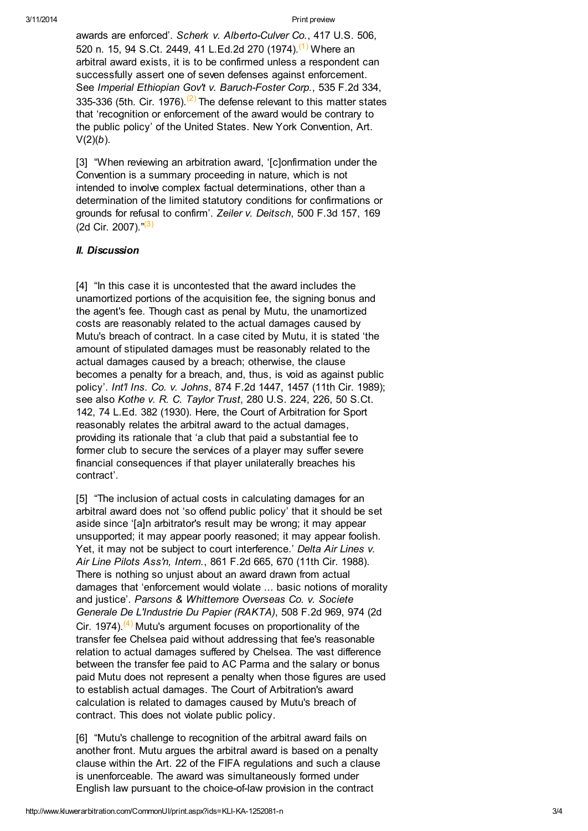#### <span id="page-2-0"></span>Print preview

<span id="page-2-1"></span>awards are enforced'. Scherk v. Alberto-Culver Co., 417 U.S. 506, 520 n. 15, 94 S.Ct. 2449, 41 L.Ed.2d 270 (1974).<sup>[\(1\)](#page-3-0)</sup> Where an arbitral award exists, it is to be confirmed unless a respondent can successfully assert one of seven defenses against enforcement. See Imperial Ethiopian Gov't v. Baruch-Foster Corp., 535 F.2d 334, 335-336 (5th. Cir. 1976).<sup>[\(2\)](#page-3-1)</sup> The defense relevant to this matter states that 'recognition or enforcement of the award would be contrary to the public policy' of the United States. New York Convention, Art.  $V(2)(b)$ .

[3] "When reviewing an arbitration award, '[c]onfirmation under the Convention is a summary proceeding in nature, which is not intended to involve complex factual determinations, other than a determination of the limited statutory conditions for confirmations or grounds for refusal to confirm'. Zeiler v. Deitsch, 500 F.3d 157, 169 (2d Cir. 2007)."<sup>([3](#page-3-2))</sup>

### <span id="page-2-2"></span>II. Discussion

[4] "In this case it is uncontested that the award includes the unamortized portions of the acquisition fee, the signing bonus and the agent's fee. Though cast as penal by Mutu, the unamortized costs are reasonably related to the actual damages caused by Mutu's breach of contract. In a case cited by Mutu, it is stated 'the amount of stipulated damages must be reasonably related to the actual damages caused by a breach; otherwise, the clause becomes a penalty for a breach, and, thus, is void as against public policy'. Int'l Ins. Co. v. Johns, 874 F.2d 1447, 1457 (11th Cir. 1989); see also Kothe v. R. C. Taylor Trust, 280 U.S. 224, 226, 50 S.Ct. 142, 74 L.Ed. 382 (1930). Here, the Court of Arbitration for Sport reasonably relates the arbitral award to the actual damages, providing its rationale that 'a club that paid a substantial fee to former club to secure the services of a player may suffer severe financial consequences if that player unilaterally breaches his contract'.

[5] "The inclusion of actual costs in calculating damages for an arbitral award does not 'so offend public policy' that it should be set aside since '[a]n arbitrator's result may be wrong; it may appear unsupported; it may appear poorly reasoned; it may appear foolish. Yet, it may not be subject to court interference.' Delta Air Lines v. Air Line Pilots Ass'n, Intern., 861 F.2d 665, 670 (11th Cir. 1988). There is nothing so unjust about an award drawn from actual damages that 'enforcement would violate ... basic notions of morality and justice'. Parsons & Whittemore Overseas Co. v. Societe Generale De L'Industrie Du Papier (RAKTA), 508 F.2d 969, 974 (2d Cir. 1974).<sup>[\(4\)](#page-3-3)</sup> Mutu's argument focuses on proportionality of the transfer fee Chelsea paid without addressing that fee's reasonable relation to actual damages suffered by Chelsea. The vast difference between the transfer fee paid to AC Parma and the salary or bonus paid Mutu does not represent a penalty when those figures are used to establish actual damages. The Court of Arbitration's award calculation is related to damages caused by Mutu's breach of contract. This does not violate public policy.

<span id="page-2-3"></span>[6] "Mutu's challenge to recognition of the arbitral award fails on another front. Mutu argues the arbitral award is based on a penalty clause within the Art. 22 of the FIFA regulations and such a clause is unenforceable. The award was simultaneously formed under English law pursuant to the choice-of-law provision in the contract